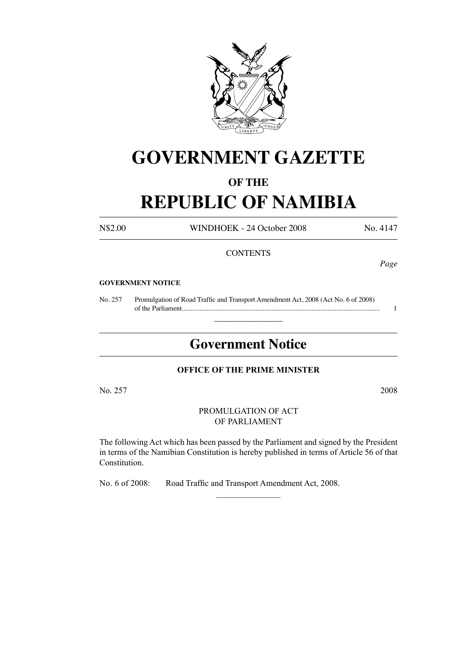

# **GOVERNMENT GAZETTE**

# **OF THE**

# **REPUBLIC OF NAMIBIA**

N\$2.00 WINDHOEK - 24 October 2008 No. 4147

### **CONTENTS**

*Page*

#### **GOVERNMENT NOTICE**

No. 257 Promulgation of Road Traffic and Transport Amendment Act, 2008 (Act No. 6 of 2008) of the Parliament................................................................................................................. 1

# **Government Notice**

 $\overline{\phantom{a}}$  , where  $\overline{\phantom{a}}$ 

#### **OFFICE OF THE PRIME MINISTER**

No. 257 2008

PROMULGATION OF ACT OF PARLIAMENT

The following Act which has been passed by the Parliament and signed by the President in terms of the Namibian Constitution is hereby published in terms of Article 56 of that Constitution.

 $\overline{\phantom{a}}$  , where  $\overline{\phantom{a}}$ 

No. 6 of 2008: Road Traffic and Transport Amendment Act, 2008.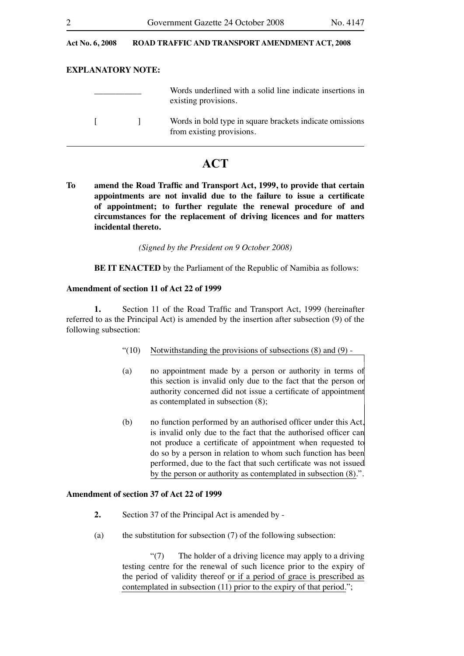#### Act No. 6, 2008 ROAD TRAFFIC AND TRANSPORT AMENDMENT ACT, 2008

#### **EXPLANATORY NOTE:**

|  | Words underlined with a solid line indicate insertions in<br>existing provisions.     |
|--|---------------------------------------------------------------------------------------|
|  | Words in bold type in square brackets indicate omissions<br>from existing provisions. |

# **ACT**

**To amend the Road Traffic and Transport Act, 1999, to provide that certain appointments are not invalid due to the failure to issue a certificate of appointment; to further regulate the renewal procedure of and circumstances for the replacement of driving licences and for matters incidental thereto.**

*(Signed by the President on 9 October 2008)*

**BE IT ENACTED** by the Parliament of the Republic of Namibia as follows:

#### **Amendment of section 11 of Act 22 of 1999**

**1.** Section 11 of the Road Traffic and Transport Act, 1999 (hereinafter referred to as the Principal Act) is amended by the insertion after subsection (9) of the following subsection:

- "(10) Notwithstanding the provisions of subsections  $(8)$  and  $(9)$  -
- (a) no appointment made by a person or authority in terms of this section is invalid only due to the fact that the person or authority concerned did not issue a certificate of appointment as contemplated in subsection (8);
- (b) no function performed by an authorised officer under this Act, is invalid only due to the fact that the authorised officer can not produce a certificate of appointment when requested to do so by a person in relation to whom such function has been performed, due to the fact that such certificate was not issued by the person or authority as contemplated in subsection (8).".

#### **Amendment of section 37 of Act 22 of 1999**

- **2.** Section 37 of the Principal Act is amended by -
- (a) the substitution for subsection (7) of the following subsection:

 "(7) The holder of a driving licence may apply to a driving testing centre for the renewal of such licence prior to the expiry of the period of validity thereof or if a period of grace is prescribed as contemplated in subsection (11) prior to the expiry of that period.";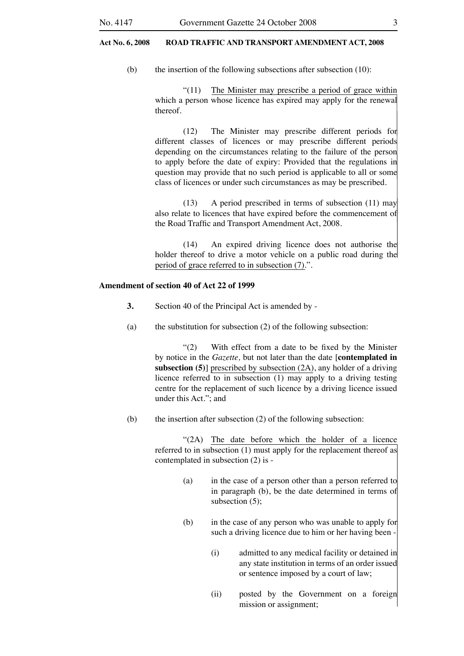#### **Act No. 6, 2008 ROAD TRAFFIC AND TRANSPORT AMENDMENT ACT, 2008 Act No. 6, 2008 ROAD TRAFFIC AND TRANSPORT AMENDMENT ACT, 2008**

(b) the insertion of the following subsections after subsection  $(10)$ :

 "(11) The Minister may prescribe a period of grace within which a person whose licence has expired may apply for the renewal thereof.

 (12) The Minister may prescribe different periods for different classes of licences or may prescribe different periods depending on the circumstances relating to the failure of the person to apply before the date of expiry: Provided that the regulations in question may provide that no such period is applicable to all or some class of licences or under such circumstances as may be prescribed.

 (13) A period prescribed in terms of subsection (11) may also relate to licences that have expired before the commencement of the Road Traffic and Transport Amendment Act, 2008.

 (14) An expired driving licence does not authorise the holder thereof to drive a motor vehicle on a public road during the period of grace referred to in subsection (7).".

#### **Amendment of section 40 of Act 22 of 1999**

- **3.** Section 40 of the Principal Act is amended by -
- (a) the substitution for subsection (2) of the following subsection:

 "(2) With effect from a date to be fixed by the Minister by notice in the *Gazette,* but not later than the date [**contemplated in subsection (5)**] prescribed by subsection (2A), any holder of a driving licence referred to in subsection  $(1)$  may apply to a driving testing centre for the replacement of such licence by a driving licence issued under this Act."; and

(b) the insertion after subsection (2) of the following subsection:

 "(2A) The date before which the holder of a licence referred to in subsection (1) must apply for the replacement thereof as contemplated in subsection (2) is -

- (a) in the case of a person other than a person referred to in paragraph (b), be the date determined in terms of subsection (5);
- (b) in the case of any person who was unable to apply for such a driving licence due to him or her having been
	- (i) admitted to any medical facility or detained in any state institution in terms of an order issued or sentence imposed by a court of law;
	- (ii) posted by the Government on a foreign mission or assignment;